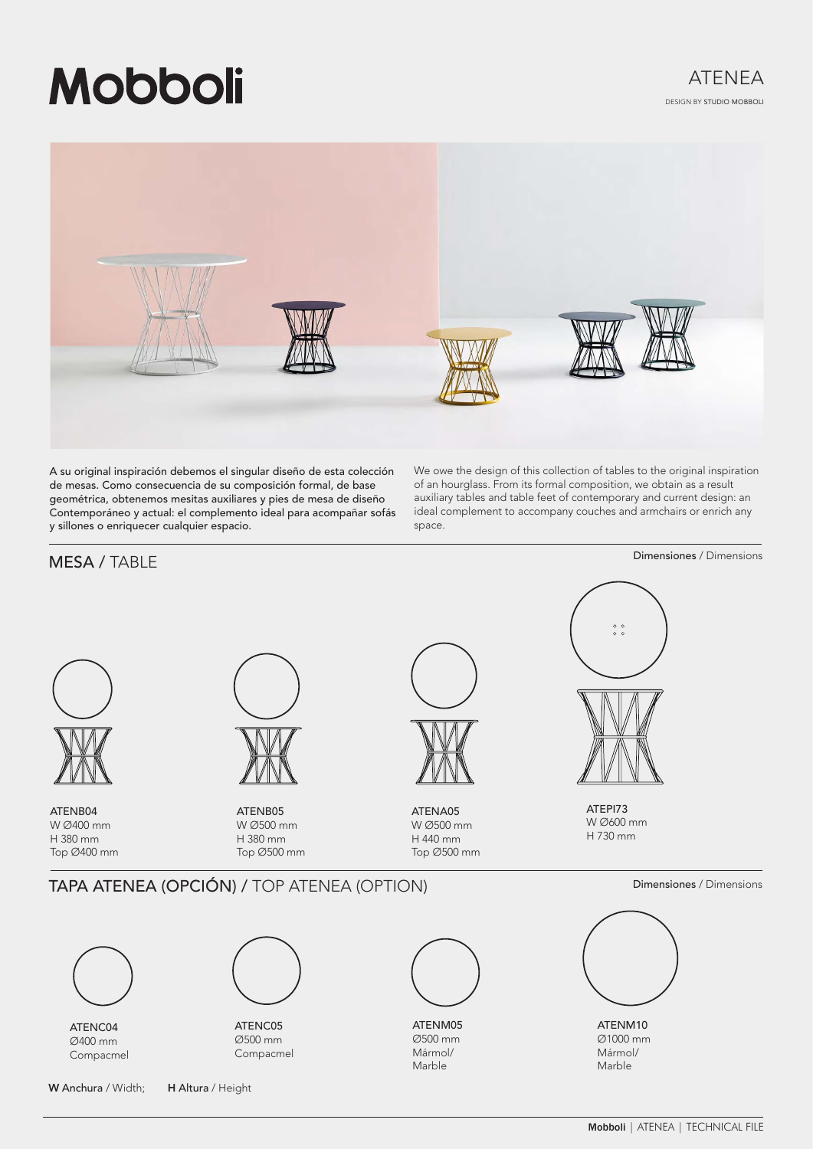# **Mobboli**



A su original inspiración debemos el singular diseño de esta colección de mesas. Como consecuencia de su composición formal, de base geométrica, obtenemos mesitas auxiliares y pies de mesa de diseño Contemporáneo y actual: el complemento ideal para acompañar sofás y sillones o enriquecer cualquier espacio.

We owe the design of this collection of tables to the original inspiration of an hourglass. From its formal composition, we obtain as a result auxiliary tables and table feet of contemporary and current design: an ideal complement to accompany couches and armchairs or enrich any space.

# Dimensiones / Dimensions MESA / TABLE  $\begin{smallmatrix}0&&0\\&0\\0&&0\end{smallmatrix}$ ATEPI73 ATENB04 ATENB05 ATENA05 W Ø600 mm W Ø400 mm W Ø500 mm W Ø500 mm H 730 mm H 380 mm H 380 mm H 440 mm Top Ø500 mm Top Ø500 mm Top Ø400 mm TAPA ATENEA (OPCIÓN) / TOP ATENEA (OPTION) Dimensiones / Dimensiones / Dimensions ATENC05 ATENM05 ATENM10 ATENC04 Ø500 mm Ø1000 mm Ø500 mm Ø400 mm Mármol/ Mármol/ Compacmel Compacmel Marble Marble W Anchura / Width; H Altura / Height

Mobboli | ATENEA | TECHNICAL FILE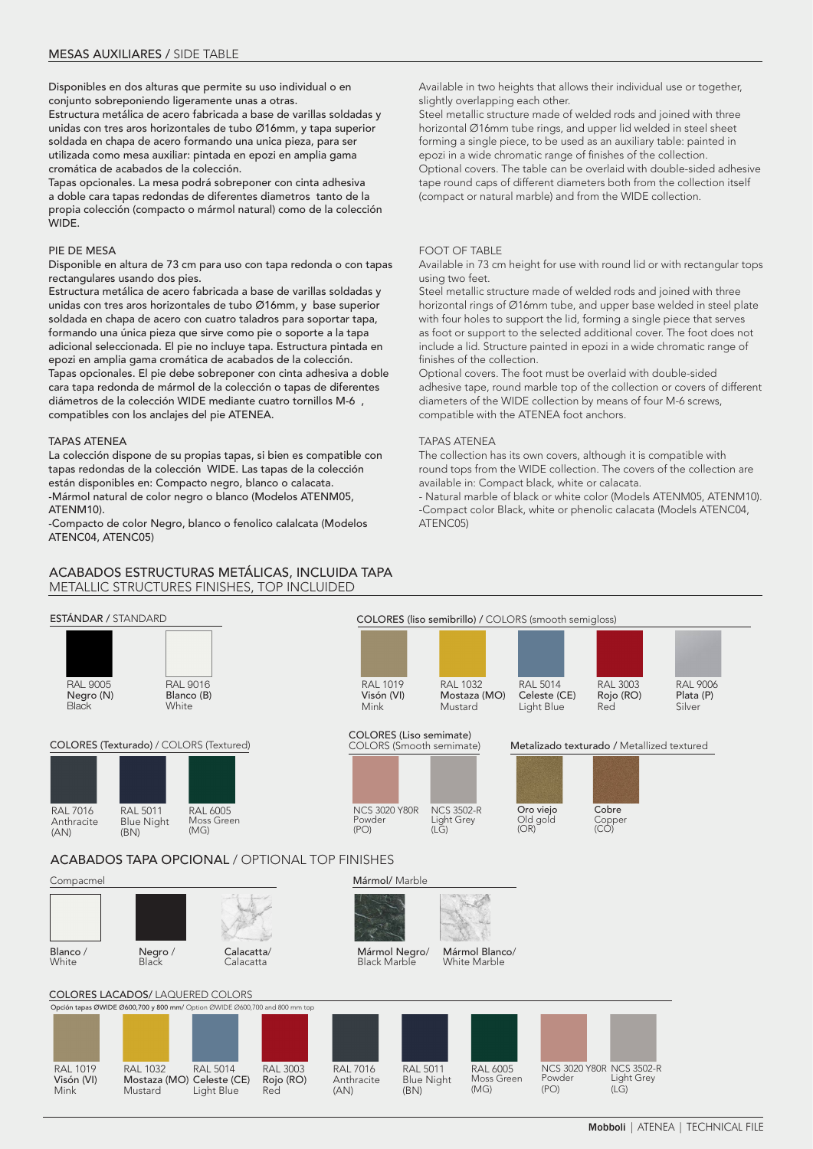Disponibles en dos alturas que permite su uso individual o en conjunto sobreponiendo ligeramente unas a otras. Estructura metálica de acero fabricada a base de varillas soldadas y unidas con tres aros horizontales de tubo Ø16mm, y tapa superior soldada en chapa de acero formando una unica pieza, para ser utilizada como mesa auxiliar: pintada en epozi en amplia gama cromática de acabados de la colección.

Tapas opcionales. La mesa podrá sobreponer con cinta adhesiva a doble cara tapas redondas de diferentes diametros tanto de la propia colección (compacto o mármol natural) como de la colección WIDE.

#### PIE DE MESA

Disponible en altura de 73 cm para uso con tapa redonda o con tapas rectangulares usando dos pies.

Estructura metálica de acero fabricada a base de varillas soldadas y unidas con tres aros horizontales de tubo Ø16mm, y base superior soldada en chapa de acero con cuatro taladros para soportar tapa, formando una única pieza que sirve como pie o soporte a la tapa adicional seleccionada. El pie no incluye tapa. Estructura pintada en epozi en amplia gama cromática de acabados de la colección. Tapas opcionales. El pie debe sobreponer con cinta adhesiva a doble cara tapa redonda de mármol de la colección o tapas de diferentes diámetros de la colección WIDE mediante cuatro tornillos M-6 , compatibles con los anclajes del pie ATENEA.

#### TAPAS ATENEA

La colección dispone de su propias tapas, si bien es compatible con tapas redondas de la colección WIDE. Las tapas de la colección están disponibles en: Compacto negro, blanco o calacata. -Mármol natural de color negro o blanco (Modelos ATENM05, ATENM10).

-Compacto de color Negro, blanco o fenolico calalcata (Modelos ATENC04, ATENC05)

## ACABADOS ESTRUCTURAS METÁLICAS, INCLUIDA TAPA METALLIC STRUCTURES FINISHES, TOP INCLUIDED

Available in two heights that allows their individual use or together, slightly overlapping each other.

Steel metallic structure made of welded rods and joined with three horizontal Ø16mm tube rings, and upper lid welded in steel sheet forming a single piece, to be used as an auxiliary table: painted in epozi in a wide chromatic range of finishes of the collection. Optional covers. The table can be overlaid with double-sided adhesive tape round caps of different diameters both from the collection itself (compact or natural marble) and from the WIDE collection.

#### FOOT OF TABLE

Available in 73 cm height for use with round lid or with rectangular tops using two feet.

Steel metallic structure made of welded rods and joined with three horizontal rings of Ø16mm tube, and upper base welded in steel plate with four holes to support the lid, forming a single piece that serves as foot or support to the selected additional cover. The foot does not include a lid. Structure painted in epozi in a wide chromatic range of finishes of the collection.

Optional covers. The foot must be overlaid with double-sided adhesive tape, round marble top of the collection or covers of different diameters of the WIDE collection by means of four M-6 screws, compatible with the ATENEA foot anchors.

#### TAPAS ATENEA

The collection has its own covers, although it is compatible with round tops from the WIDE collection. The covers of the collection are available in: Compact black, white or calacata.

- Natural marble of black or white color (Models ATENM05, ATENM10). -Compact color Black, white or phenolic calacata (Models ATENC04, ATENC05)